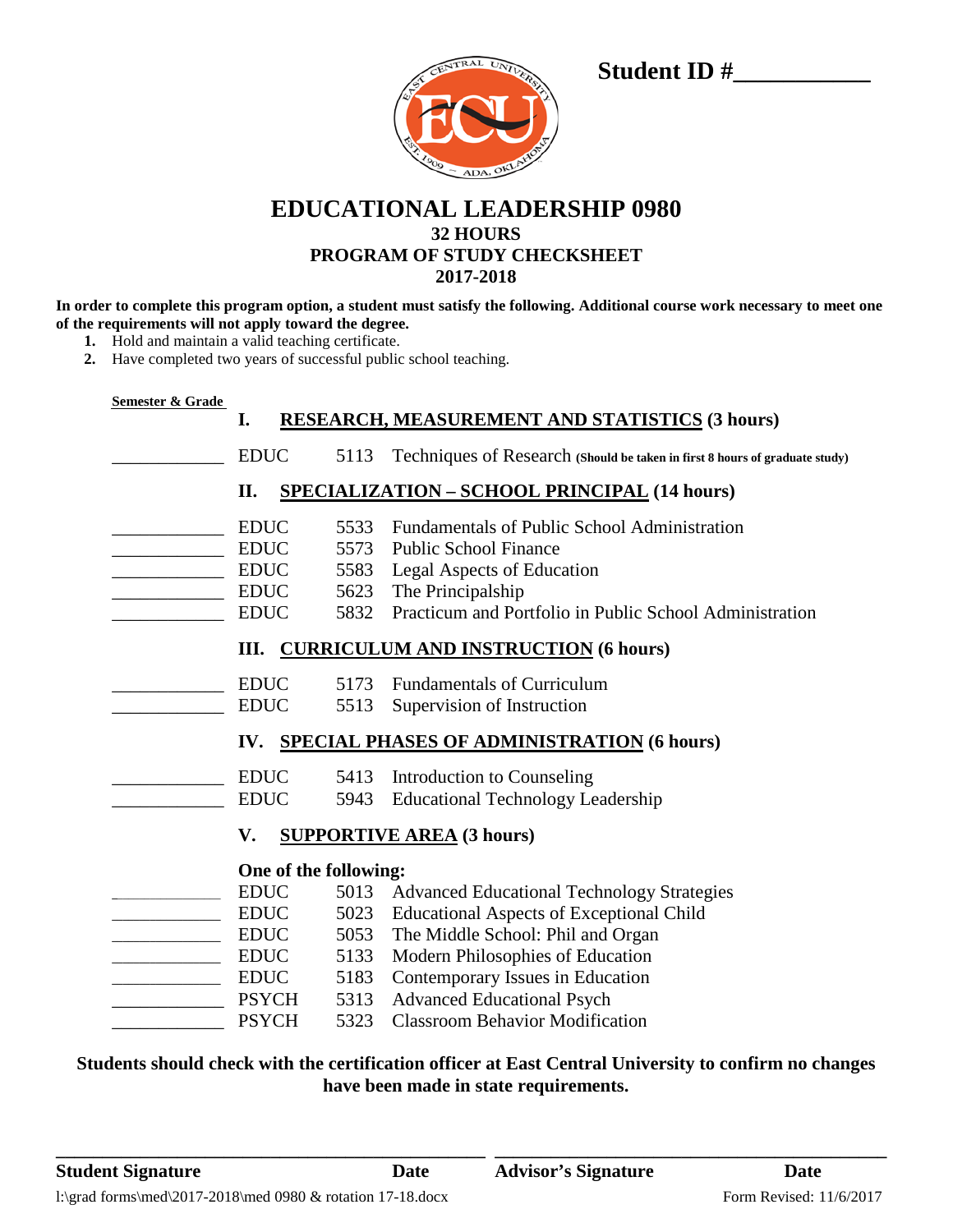| CENTRAL UNIVERSI<br>ينې<br>سي    |
|----------------------------------|
|                                  |
| ADA, OKLANDE<br><b>0001-1909</b> |

## **Student ID #\_\_\_\_\_\_\_\_\_\_\_**

**EDUCATIONAL LEADERSHIP 0980 32 HOURS PROGRAM OF STUDY CHECKSHEET 2017-2018**

**In order to complete this program option, a student must satisfy the following. Additional course work necessary to meet one of the requirements will not apply toward the degree.**

- **1.** Hold and maintain a valid teaching certificate.
- **2.** Have completed two years of successful public school teaching.

|                                                 | I.                    |  |      | <b>RESEARCH, MEASUREMENT AND STATISTICS (3 hours)</b>                       |
|-------------------------------------------------|-----------------------|--|------|-----------------------------------------------------------------------------|
|                                                 | <b>EDUC</b>           |  | 5113 | Techniques of Research (Should be taken in first 8 hours of graduate study) |
|                                                 | II.                   |  |      | <b>SPECIALIZATION - SCHOOL PRINCIPAL (14 hours)</b>                         |
|                                                 | <b>EDUC</b>           |  | 5533 | <b>Fundamentals of Public School Administration</b>                         |
| <u> 1989 - Johann Barnett, fransk politiker</u> | <b>EDUC</b>           |  | 5573 | <b>Public School Finance</b>                                                |
|                                                 | <b>EDUC</b>           |  | 5583 | <b>Legal Aspects of Education</b>                                           |
|                                                 | <b>EDUC</b>           |  |      | 5623 The Principalship                                                      |
|                                                 | <b>EDUC</b>           |  | 5832 | Practicum and Portfolio in Public School Administration                     |
|                                                 |                       |  |      | III. CURRICULUM AND INSTRUCTION (6 hours)                                   |
| <u> 1990 - Johann Barbara, martin a</u>         | <b>EDUC</b>           |  |      | 5173 Fundamentals of Curriculum                                             |
|                                                 | <b>EDUC</b>           |  | 5513 | Supervision of Instruction                                                  |
|                                                 | IV.                   |  |      | <b>SPECIAL PHASES OF ADMINISTRATION (6 hours)</b>                           |
|                                                 | <b>EDUC</b>           |  |      | 5413 Introduction to Counseling                                             |
|                                                 | <b>EDUC</b>           |  | 5943 | <b>Educational Technology Leadership</b>                                    |
|                                                 | V.                    |  |      | <b>SUPPORTIVE AREA (3 hours)</b>                                            |
|                                                 | One of the following: |  |      |                                                                             |
|                                                 | <b>EDUC</b>           |  |      | 5013 Advanced Educational Technology Strategies                             |
|                                                 | <b>EDUC</b>           |  |      | 5023 Educational Aspects of Exceptional Child                               |
|                                                 | <b>EDUC</b>           |  | 5053 | The Middle School: Phil and Organ                                           |
|                                                 | <b>EDUC</b>           |  | 5133 | Modern Philosophies of Education                                            |
|                                                 | <b>EDUC</b>           |  | 5183 | Contemporary Issues in Education                                            |
| <u> The Common School (1989)</u>                | <b>PSYCH</b>          |  | 5313 | <b>Advanced Educational Psych</b>                                           |
|                                                 | <b>PSYCH</b>          |  | 5323 | <b>Classroom Behavior Modification</b>                                      |

**\_\_\_\_\_\_\_\_\_\_\_\_\_\_\_\_\_\_\_\_\_\_\_\_\_\_\_\_\_\_\_\_\_\_\_\_\_\_\_\_\_\_\_\_\_\_ \_\_\_\_\_\_\_\_\_\_\_\_\_\_\_\_\_\_\_\_\_\_\_\_\_\_\_\_\_\_\_\_\_\_\_\_\_\_\_\_\_\_**